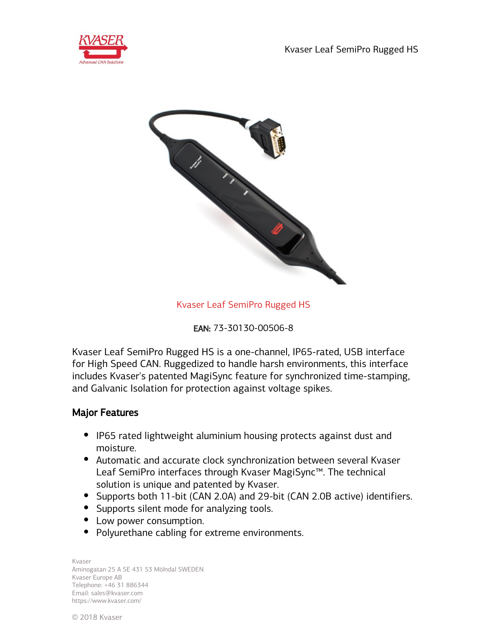



Kvaser Leaf SemiPro Rugged HS

EAN: 73-30130-00506-8

Kvaser Leaf SemiPro Rugged HS is a one-channel, IP65-rated, USB interface for High Speed CAN. Ruggedized to handle harsh environments, this interface includes Kvaser's patented MagiSync feature for synchronized time-stamping, and Galvanic Isolation for protection against voltage spikes.

### Major Features

- IP65 rated lightweight aluminium housing protects against dust and moisture.
- Automatic and accurate clock synchronization between several Kvaser Leaf SemiPro interfaces through Kvaser MagiSync™. The technical solution is unique and patented by Kvaser.
- Supports both 11-bit (CAN 2.0A) and 29-bit (CAN 2.0B active) identifiers.
- Supports silent mode for analyzing tools.
- Low power consumption.
- Polyurethane cabling for extreme environments.

Kvaser Aminogatan 25 A SE 431 53 Mölndal SWEDEN Kvaser Europe AB Telephone: +46 31 886344 Email: sales@kvaser.com https://www.kvaser.com/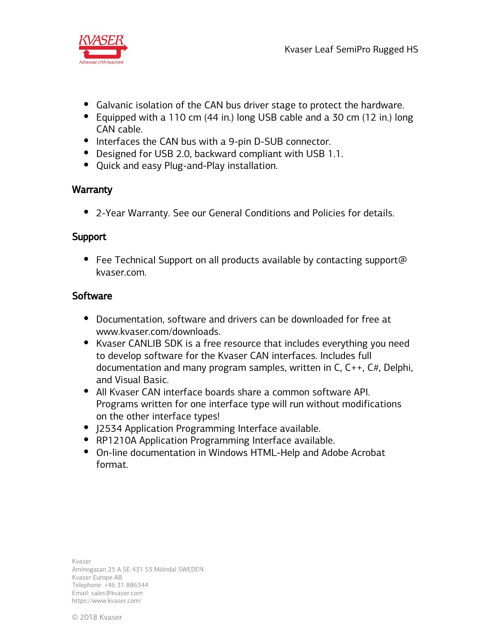

- Galvanic isolation of the CAN bus driver stage to protect the hardware.
- Equipped with a 110 cm (44 in.) long USB cable and a 30 cm (12 in.) long CAN cable.
- Interfaces the CAN bus with a 9-pin D-SUB connector.
- Designed for USB 2.0, backward compliant with USB 1.1.
- Quick and easy Plug-and-Play installation.

# **Warranty**

2-Year Warranty. See our General Conditions and Policies for details.

# Support

• Fee Technical Support on all products available by contacting support@ kvaser.com.

# **Software**

- Documentation, software and drivers can be downloaded for free at www.kvaser.com/downloads.
- Kvaser CANLIB SDK is a free resource that includes everything you need to develop software for the Kvaser CAN interfaces. Includes full documentation and many program samples, written in C, C++, C#, Delphi, and Visual Basic.
- All Kvaser CAN interface boards share a common software API. Programs written for one interface type will run without modifications on the other interface types!
- J2534 Application Programming Interface available.
- RP1210A Application Programming Interface available.
- On-line documentation in Windows HTML-Help and Adobe Acrobat format.

Kvaser Aminogatan 25 A SE 431 53 Mölndal SWEDEN Kvaser Europe AB Telephone: +46 31 886344 Email: sales@kvaser.com https://www.kvaser.com/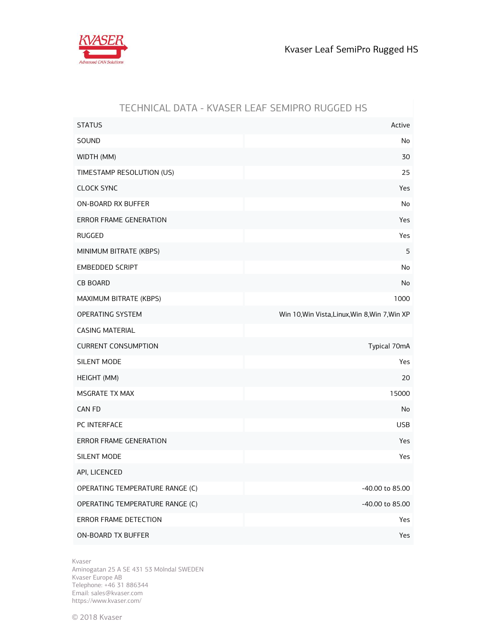

| <b>STATUS</b>                   | Active                                         |
|---------------------------------|------------------------------------------------|
| SOUND                           | No                                             |
| WIDTH (MM)                      | 30                                             |
| TIMESTAMP RESOLUTION (US)       | 25                                             |
| <b>CLOCK SYNC</b>               | Yes                                            |
| ON-BOARD RX BUFFER              | No                                             |
| <b>ERROR FRAME GENERATION</b>   | Yes                                            |
| <b>RUGGED</b>                   | Yes                                            |
| MINIMUM BITRATE (KBPS)          | 5                                              |
| <b>EMBEDDED SCRIPT</b>          | No                                             |
| <b>CB BOARD</b>                 | No                                             |
| MAXIMUM BITRATE (KBPS)          | 1000                                           |
| OPERATING SYSTEM                | Win 10, Win Vista, Linux, Win 8, Win 7, Win XP |
| <b>CASING MATERIAL</b>          |                                                |
| <b>CURRENT CONSUMPTION</b>      | Typical 70mA                                   |
| SILENT MODE                     | Yes                                            |
| HEIGHT (MM)                     | 20                                             |
| MSGRATE TX MAX                  | 15000                                          |
| CAN FD                          | No                                             |
| PC INTERFACE                    | <b>USB</b>                                     |
| ERROR FRAME GENERATION          | Yes                                            |
| <b>SILENT MODE</b>              | Yes                                            |
| API, LICENCED                   |                                                |
| OPERATING TEMPERATURE RANGE (C) | -40.00 to 85.00                                |
| OPERATING TEMPERATURE RANGE (C) | -40.00 to 85.00                                |
| <b>ERROR FRAME DETECTION</b>    | Yes                                            |
| ON-BOARD TX BUFFER              | Yes                                            |

### TECHNICAL DATA - KVASER LEAF SEMIPRO RUGGED HS

Kvaser

Aminogatan 25 A SE 431 53 Mölndal SWEDEN Kvaser Europe AB Telephone: +46 31 886344 Email: sales@kvaser.com https://www.kvaser.com/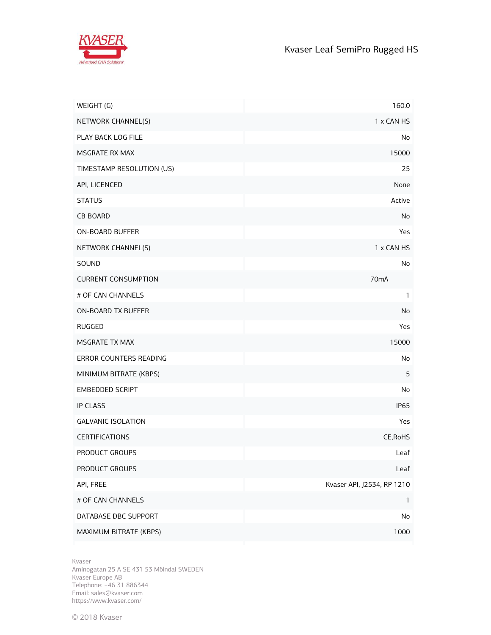

| WEIGHT (G)                 | 160.0                      |
|----------------------------|----------------------------|
| NETWORK CHANNEL(S)         | 1 x CAN HS                 |
| PLAY BACK LOG FILE         | No                         |
| MSGRATE RX MAX             | 15000                      |
| TIMESTAMP RESOLUTION (US)  | 25                         |
| API, LICENCED              | None                       |
| <b>STATUS</b>              | Active                     |
| <b>CB BOARD</b>            | No                         |
| <b>ON-BOARD BUFFER</b>     | Yes                        |
| NETWORK CHANNEL(S)         | 1 x CAN HS                 |
| SOUND                      | No                         |
| <b>CURRENT CONSUMPTION</b> | 70 <sub>m</sub> A          |
| # OF CAN CHANNELS          | 1                          |
| <b>ON-BOARD TX BUFFER</b>  | No                         |
| <b>RUGGED</b>              | Yes                        |
| MSGRATE TX MAX             | 15000                      |
| ERROR COUNTERS READING     | No                         |
| MINIMUM BITRATE (KBPS)     | 5                          |
| <b>EMBEDDED SCRIPT</b>     | No                         |
| <b>IP CLASS</b>            | <b>IP65</b>                |
| <b>GALVANIC ISOLATION</b>  | Yes                        |
| <b>CERTIFICATIONS</b>      | CE, RoHS                   |
| PRODUCT GROUPS             | Leaf                       |
| PRODUCT GROUPS             | Leaf                       |
| API, FREE                  | Kvaser API, J2534, RP 1210 |
| # OF CAN CHANNELS          | $\mathbf{1}$               |
| DATABASE DBC SUPPORT       | No                         |
| MAXIMUM BITRATE (KBPS)     | 1000                       |

Kvaser

Aminogatan 25 A SE 431 53 Mölndal SWEDEN Kvaser Europe AB Telephone: +46 31 886344 Email: sales@kvaser.com https://www.kvaser.com/